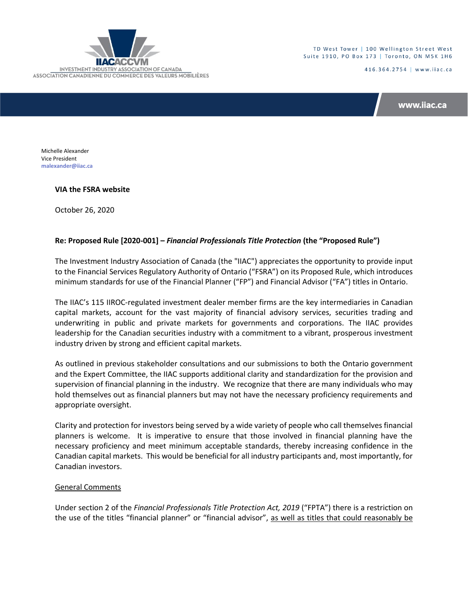

TD West Tower | 100 Wellington Street West Suite 1910, PO Box 173 | Toronto, ON M5K 1H6

416.364.2754 | www.iiac.ca

www.iiac.ca

Michelle Alexander Vice President **[malexander@iiac.ca](mailto:malexander@iiac.ca)**

## **VIA the FSRA website**

October 26, 2020

# **Re: Proposed Rule [2020-001] –** *Financial Professionals Title Protection* **(the "Proposed Rule")**

The Investment Industry Association of Canada (the "IIAC") appreciates the opportunity to provide input to the Financial Services Regulatory Authority of Ontario ("FSRA") on its Proposed Rule, which introduces minimum standards for use of the Financial Planner ("FP") and Financial Advisor ("FA") titles in Ontario.

The IIAC's 115 IIROC-regulated investment dealer member firms are the key intermediaries in Canadian capital markets, account for the vast majority of financial advisory services, securities trading and underwriting in public and private markets for governments and corporations. The IIAC provides leadership for the Canadian securities industry with a commitment to a vibrant, prosperous investment industry driven by strong and efficient capital markets.

As outlined in previous stakeholder consultations and our submissions to both the Ontario government and the Expert Committee, the IIAC supports additional clarity and standardization for the provision and supervision of financial planning in the industry. We recognize that there are many individuals who may hold themselves out as financial planners but may not have the necessary proficiency requirements and appropriate oversight.

Clarity and protection for investors being served by a wide variety of people who call themselves financial planners is welcome. It is imperative to ensure that those involved in financial planning have the necessary proficiency and meet minimum acceptable standards, thereby increasing confidence in the Canadian capital markets. This would be beneficial for all industry participants and, most importantly, for Canadian investors.

## General Comments

Under section 2 of the *Financial Professionals Title Protection Act, 2019* ("FPTA") there is a restriction on the use of the titles "financial planner" or "financial advisor", as well as titles that could reasonably be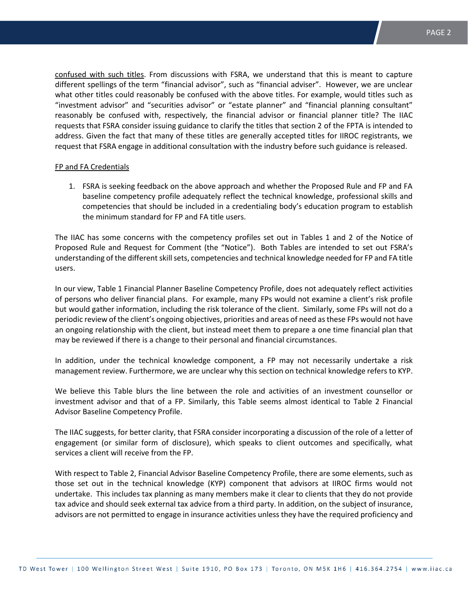confused with such titles. From discussions with FSRA, we understand that this is meant to capture different spellings of the term "financial advisor", such as "financial adviser". However, we are unclear what other titles could reasonably be confused with the above titles. For example, would titles such as "investment advisor" and "securities advisor" or "estate planner" and "financial planning consultant" reasonably be confused with, respectively, the financial advisor or financial planner title? The IIAC requests that FSRA consider issuing guidance to clarify the titles that section 2 of the FPTA is intended to address. Given the fact that many of these titles are generally accepted titles for IIROC registrants, we request that FSRA engage in additional consultation with the industry before such guidance is released.

#### FP and FA Credentials

1. FSRA is seeking feedback on the above approach and whether the Proposed Rule and FP and FA baseline competency profile adequately reflect the technical knowledge, professional skills and competencies that should be included in a credentialing body's education program to establish the minimum standard for FP and FA title users.

The IIAC has some concerns with the competency profiles set out in Tables 1 and 2 of the Notice of Proposed Rule and Request for Comment (the "Notice"). Both Tables are intended to set out FSRA's understanding of the different skill sets, competencies and technical knowledge needed for FP and FA title users.

In our view, Table 1 Financial Planner Baseline Competency Profile, does not adequately reflect activities of persons who deliver financial plans. For example, many FPs would not examine a client's risk profile but would gather information, including the risk tolerance of the client. Similarly, some FPs will not do a periodic review of the client's ongoing objectives, priorities and areas of need as these FPs would not have an ongoing relationship with the client, but instead meet them to prepare a one time financial plan that may be reviewed if there is a change to their personal and financial circumstances.

In addition, under the technical knowledge component, a FP may not necessarily undertake a risk management review. Furthermore, we are unclear why this section on technical knowledge refers to KYP.

We believe this Table blurs the line between the role and activities of an investment counsellor or investment advisor and that of a FP. Similarly, this Table seems almost identical to Table 2 Financial Advisor Baseline Competency Profile.

The IIAC suggests, for better clarity, that FSRA consider incorporating a discussion of the role of a letter of engagement (or similar form of disclosure), which speaks to client outcomes and specifically, what services a client will receive from the FP.

With respect to Table 2, Financial Advisor Baseline Competency Profile, there are some elements, such as those set out in the technical knowledge (KYP) component that advisors at IIROC firms would not undertake. This includes tax planning as many members make it clear to clients that they do not provide tax advice and should seek external tax advice from a third party. In addition, on the subject of insurance, advisors are not permitted to engage in insurance activities unless they have the required proficiency and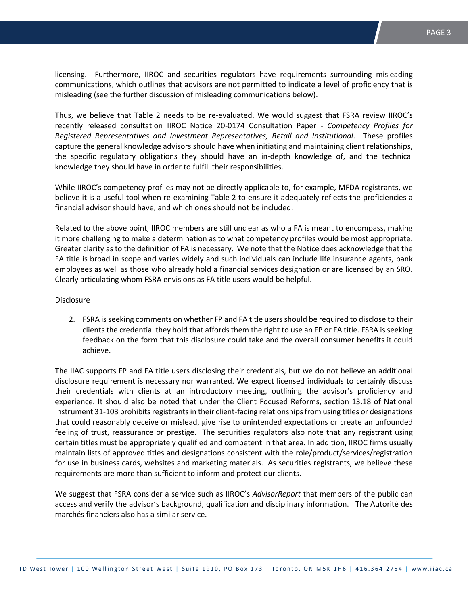licensing. Furthermore, IIROC and securities regulators have requirements surrounding misleading communications, which outlines that advisors are not permitted to indicate a level of proficiency that is misleading (see the further discussion of misleading communications below).

Thus, we believe that Table 2 needs to be re-evaluated. We would suggest that FSRA review IIROC's recently released consultation IIROC Notice 20-0174 Consultation Paper - *Competency Profiles for Registered Representatives and Investment Representatives, Retail and Institutional*. These profiles capture the general knowledge advisors should have when initiating and maintaining client relationships, the specific regulatory obligations they should have an in-depth knowledge of, and the technical knowledge they should have in order to fulfill their responsibilities.

While IIROC's competency profiles may not be directly applicable to, for example, MFDA registrants, we believe it is a useful tool when re-examining Table 2 to ensure it adequately reflects the proficiencies a financial advisor should have, and which ones should not be included.

Related to the above point, IIROC members are still unclear as who a FA is meant to encompass, making it more challenging to make a determination as to what competency profiles would be most appropriate. Greater clarity as to the definition of FA is necessary. We note that the Notice does acknowledge that the FA title is broad in scope and varies widely and such individuals can include life insurance agents, bank employees as well as those who already hold a financial services designation or are licensed by an SRO. Clearly articulating whom FSRA envisions as FA title users would be helpful.

### Disclosure

2. FSRA is seeking comments on whether FP and FA title users should be required to disclose to their clients the credential they hold that affords them the right to use an FP or FA title. FSRA is seeking feedback on the form that this disclosure could take and the overall consumer benefits it could achieve.

The IIAC supports FP and FA title users disclosing their credentials, but we do not believe an additional disclosure requirement is necessary nor warranted. We expect licensed individuals to certainly discuss their credentials with clients at an introductory meeting, outlining the advisor's proficiency and experience. It should also be noted that under the Client Focused Reforms, section 13.18 of National Instrument 31-103 prohibits registrants in their client-facing relationships from using titles or designations that could reasonably deceive or mislead, give rise to unintended expectations or create an unfounded feeling of trust, reassurance or prestige. The securities regulators also note that any registrant using certain titles must be appropriately qualified and competent in that area. In addition, IIROC firms usually maintain lists of approved titles and designations consistent with the role/product/services/registration for use in business cards, websites and marketing materials. As securities registrants, we believe these requirements are more than sufficient to inform and protect our clients.

We suggest that FSRA consider a service such as IIROC's *AdvisorReport* that members of the public can access and verify the advisor's background, qualification and disciplinary information. The Autorité des marchés financiers also has a similar service.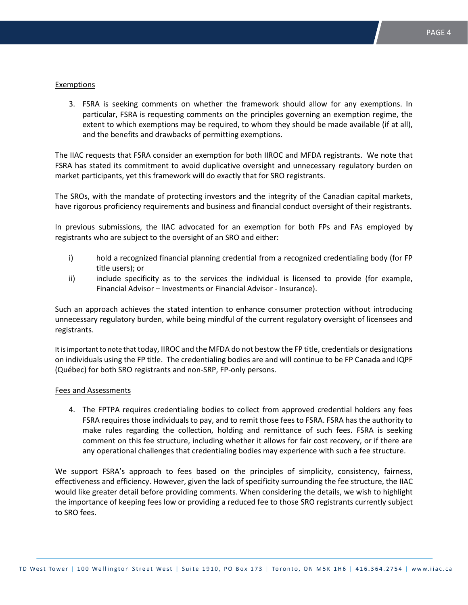#### Exemptions

3. FSRA is seeking comments on whether the framework should allow for any exemptions. In particular, FSRA is requesting comments on the principles governing an exemption regime, the extent to which exemptions may be required, to whom they should be made available (if at all), and the benefits and drawbacks of permitting exemptions.

The IIAC requests that FSRA consider an exemption for both IIROC and MFDA registrants. We note that FSRA has stated its commitment to avoid duplicative oversight and unnecessary regulatory burden on market participants, yet this framework will do exactly that for SRO registrants.

The SROs, with the mandate of protecting investors and the integrity of the Canadian capital markets, have rigorous proficiency requirements and business and financial conduct oversight of their registrants.

In previous submissions, the IIAC advocated for an exemption for both FPs and FAs employed by registrants who are subject to the oversight of an SRO and either:

- i) hold a recognized financial planning credential from a recognized credentialing body (for FP title users); or
- ii) include specificity as to the services the individual is licensed to provide (for example, Financial Advisor – Investments or Financial Advisor - Insurance).

Such an approach achieves the stated intention to enhance consumer protection without introducing unnecessary regulatory burden, while being mindful of the current regulatory oversight of licensees and registrants.

It is important to note that today, IIROC and the MFDA do not bestow the FP title, credentials or designations on individuals using the FP title. The credentialing bodies are and will continue to be FP Canada and IQPF (Québec) for both SRO registrants and non-SRP, FP-only persons.

#### Fees and Assessments

4. The FPTPA requires credentialing bodies to collect from approved credential holders any fees FSRA requires those individuals to pay, and to remit those fees to FSRA. FSRA has the authority to make rules regarding the collection, holding and remittance of such fees. FSRA is seeking comment on this fee structure, including whether it allows for fair cost recovery, or if there are any operational challenges that credentialing bodies may experience with such a fee structure.

We support FSRA's approach to fees based on the principles of simplicity, consistency, fairness, effectiveness and efficiency. However, given the lack of specificity surrounding the fee structure, the IIAC would like greater detail before providing comments. When considering the details, we wish to highlight the importance of keeping fees low or providing a reduced fee to those SRO registrants currently subject to SRO fees.